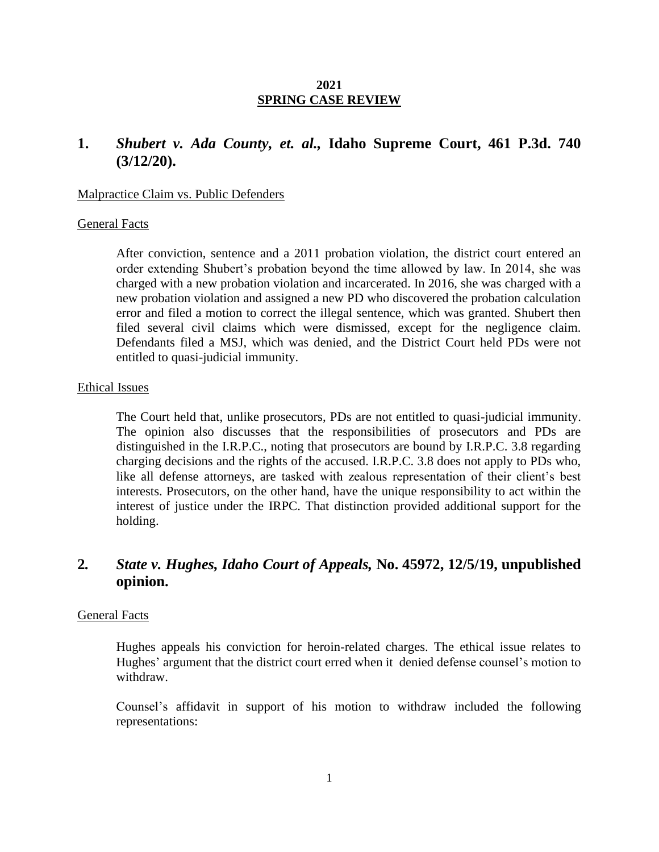### **2021 SPRING CASE REVIEW**

# **1.** *Shubert v. Ada County, et. al.,* **Idaho Supreme Court, 461 P.3d. 740 (3/12/20).**

#### Malpractice Claim vs. Public Defenders

#### General Facts

After conviction, sentence and a 2011 probation violation, the district court entered an order extending Shubert's probation beyond the time allowed by law. In 2014, she was charged with a new probation violation and incarcerated. In 2016, she was charged with a new probation violation and assigned a new PD who discovered the probation calculation error and filed a motion to correct the illegal sentence, which was granted. Shubert then filed several civil claims which were dismissed, except for the negligence claim. Defendants filed a MSJ, which was denied, and the District Court held PDs were not entitled to quasi-judicial immunity.

#### Ethical Issues

The Court held that, unlike prosecutors, PDs are not entitled to quasi-judicial immunity. The opinion also discusses that the responsibilities of prosecutors and PDs are distinguished in the I.R.P.C., noting that prosecutors are bound by I.R.P.C. 3.8 regarding charging decisions and the rights of the accused. I.R.P.C. 3.8 does not apply to PDs who, like all defense attorneys, are tasked with zealous representation of their client's best interests. Prosecutors, on the other hand, have the unique responsibility to act within the interest of justice under the IRPC. That distinction provided additional support for the holding.

# **2***. State v. Hughes, Idaho Court of Appeals,* **No. 45972, 12/5/19, unpublished opinion.**

## General Facts

Hughes appeals his conviction for heroin-related charges. The ethical issue relates to Hughes' argument that the district court erred when it denied defense counsel's motion to withdraw.

Counsel's affidavit in support of his motion to withdraw included the following representations: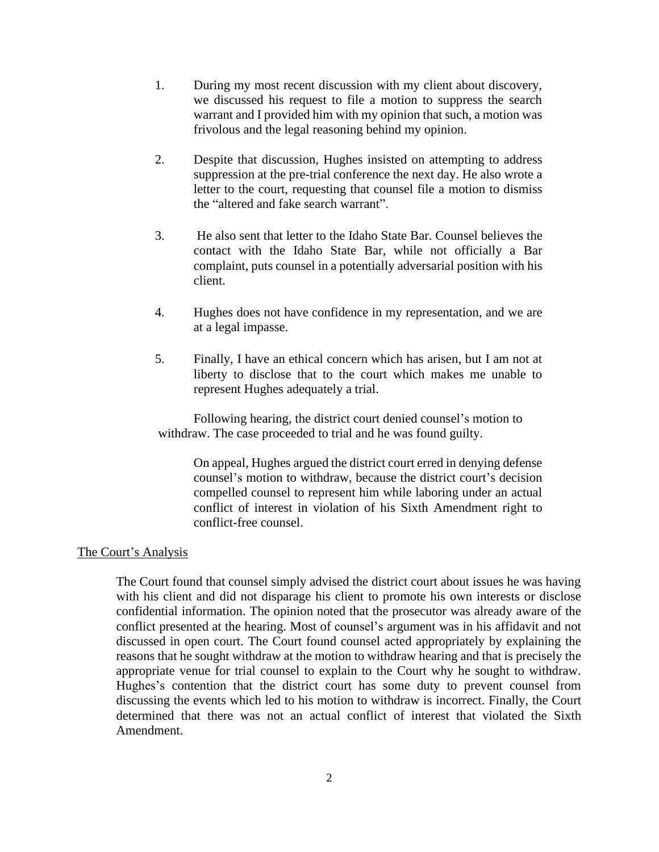- 1. During my most recent discussion with my client about discovery, we discussed his request to file a motion to suppress the search warrant and I provided him with my opinion that such, a motion was frivolous and the legal reasoning behind my opinion.
- 2. Despite that discussion, Hughes insisted on attempting to address suppression at the pre-trial conference the next day. He also wrote a letter to the court, requesting that counsel file a motion to dismiss the "altered and fake search warrant".
- 3. He also sent that letter to the Idaho State Bar. Counsel believes the contact with the Idaho State Bar, while not officially a Bar complaint, puts counsel in a potentially adversarial position with his client.
- 4. Hughes does not have confidence in my representation, and we are at a legal impasse.
- 5. Finally, I have an ethical concern which has arisen, but I am not at liberty to disclose that to the court which makes me unable to represent Hughes adequately a trial.

Following hearing, the district court denied counsel's motion to withdraw. The case proceeded to trial and he was found guilty.

On appeal, Hughes argued the district court erred in denying defense counsel's motion to withdraw, because the district court's decision compelled counsel to represent him while laboring under an actual conflict of interest in violation of his Sixth Amendment right to conflict-free counsel.

### The Court's Analysis

The Court found that counsel simply advised the district court about issues he was having with his client and did not disparage his client to promote his own interests or disclose confidential information. The opinion noted that the prosecutor was already aware of the conflict presented at the hearing. Most of counsel's argument was in his affidavit and not discussed in open court. The Court found counsel acted appropriately by explaining the reasons that he sought withdraw at the motion to withdraw hearing and that is precisely the appropriate venue for trial counsel to explain to the Court why he sought to withdraw. Hughes's contention that the district court has some duty to prevent counsel from discussing the events which led to his motion to withdraw is incorrect. Finally, the Court determined that there was not an actual conflict of interest that violated the Sixth Amendment.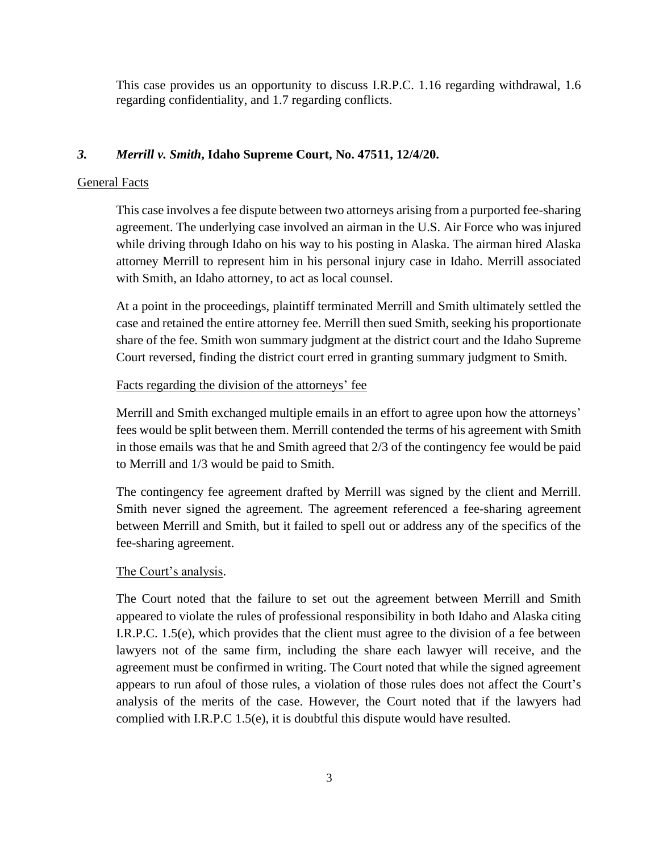This case provides us an opportunity to discuss I.R.P.C. 1.16 regarding withdrawal, 1.6 regarding confidentiality, and 1.7 regarding conflicts.

# *3. Merrill v. Smith***, Idaho Supreme Court, No. 47511, 12/4/20.**

## General Facts

This case involves a fee dispute between two attorneys arising from a purported fee-sharing agreement. The underlying case involved an airman in the U.S. Air Force who was injured while driving through Idaho on his way to his posting in Alaska. The airman hired Alaska attorney Merrill to represent him in his personal injury case in Idaho. Merrill associated with Smith, an Idaho attorney, to act as local counsel.

At a point in the proceedings, plaintiff terminated Merrill and Smith ultimately settled the case and retained the entire attorney fee. Merrill then sued Smith, seeking his proportionate share of the fee. Smith won summary judgment at the district court and the Idaho Supreme Court reversed, finding the district court erred in granting summary judgment to Smith.

## Facts regarding the division of the attorneys' fee

Merrill and Smith exchanged multiple emails in an effort to agree upon how the attorneys' fees would be split between them. Merrill contended the terms of his agreement with Smith in those emails was that he and Smith agreed that 2/3 of the contingency fee would be paid to Merrill and 1/3 would be paid to Smith.

The contingency fee agreement drafted by Merrill was signed by the client and Merrill. Smith never signed the agreement. The agreement referenced a fee-sharing agreement between Merrill and Smith, but it failed to spell out or address any of the specifics of the fee-sharing agreement.

## The Court's analysis.

The Court noted that the failure to set out the agreement between Merrill and Smith appeared to violate the rules of professional responsibility in both Idaho and Alaska citing I.R.P.C. 1.5(e), which provides that the client must agree to the division of a fee between lawyers not of the same firm, including the share each lawyer will receive, and the agreement must be confirmed in writing. The Court noted that while the signed agreement appears to run afoul of those rules, a violation of those rules does not affect the Court's analysis of the merits of the case. However, the Court noted that if the lawyers had complied with I.R.P.C 1.5(e), it is doubtful this dispute would have resulted.